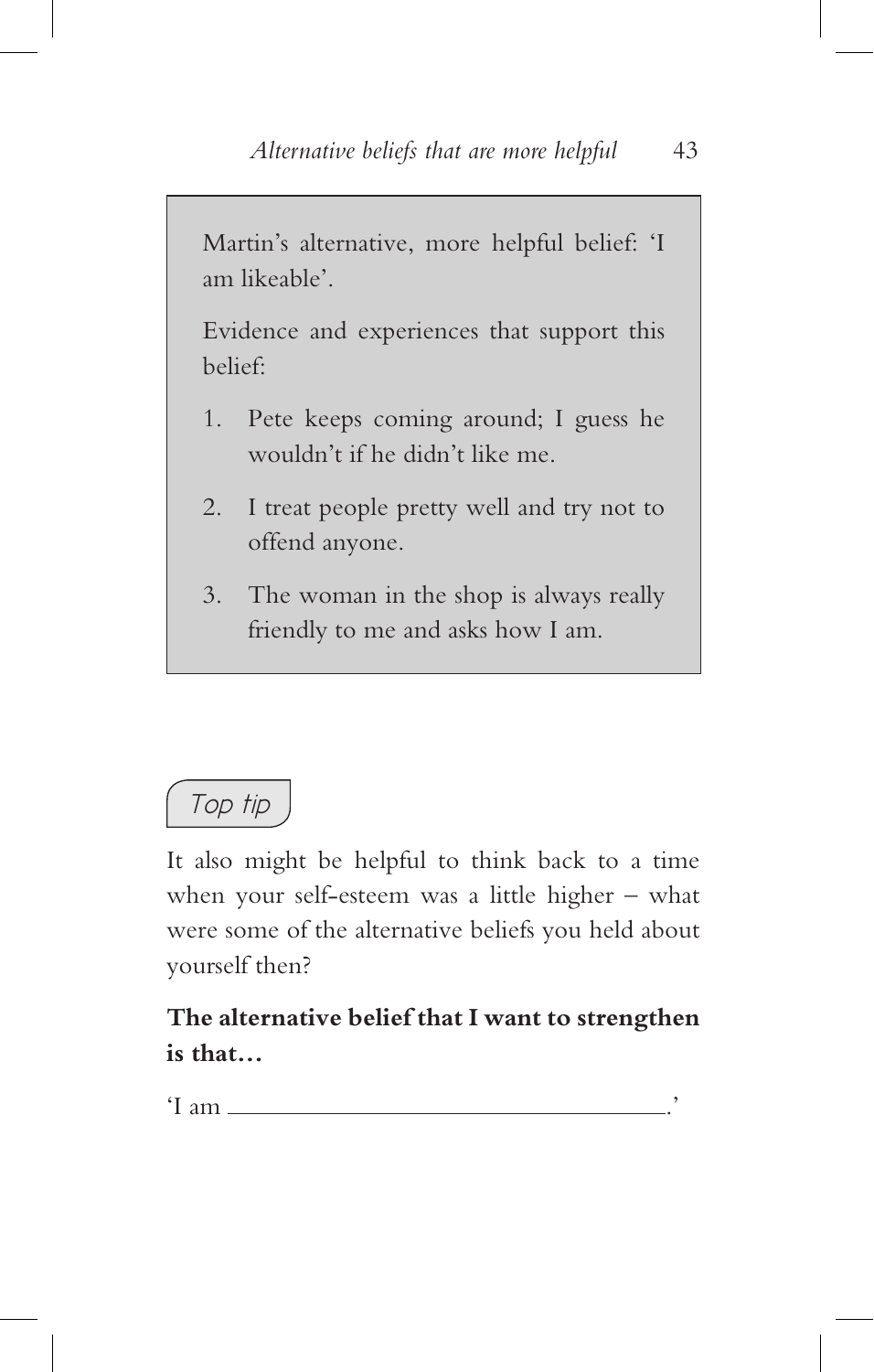*Top tip*

It also might be helpful to think back to a time when your self-esteem was a little higher – what were some of the alternative beliefs you held about yourself then?

**The alternative belief that I want to strengthen is that…**

'I am ...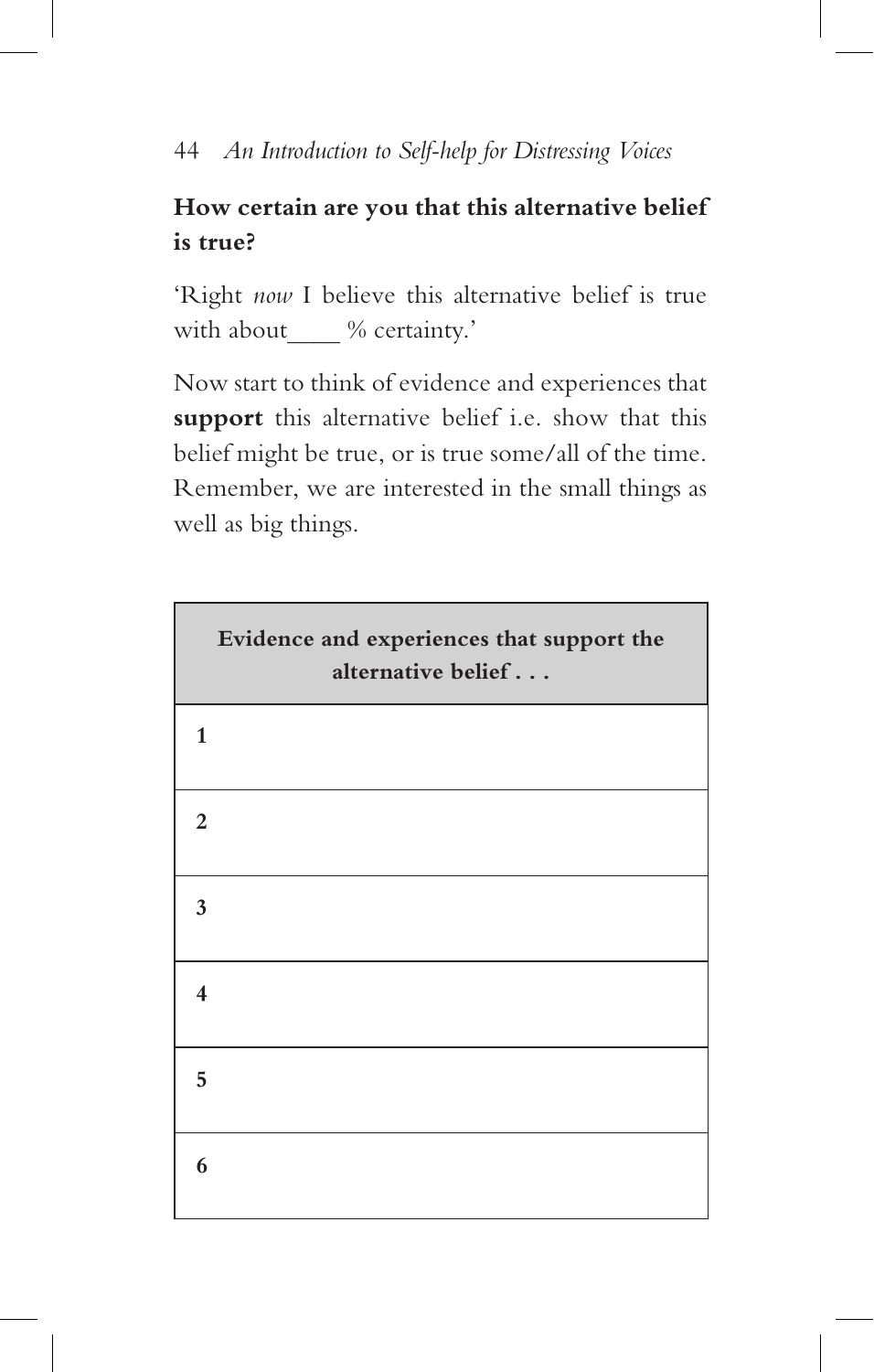## **How certain are you that this alternative belief is true?**

'Right *now* I believe this alternative belief is true with about  $\%$  certainty.'

Now start to think of evidence and experiences that **support** this alternative belief i.e. show that this belief might be true, or is true some/all of the time. Remember, we are interested in the small things as well as big things.

| Evidence and experiences that support the<br>alternative belief |
|-----------------------------------------------------------------|
| $\mathbf{1}$                                                    |
| $\overline{2}$                                                  |
| 3                                                               |
| 4                                                               |
| 5                                                               |
| 6                                                               |